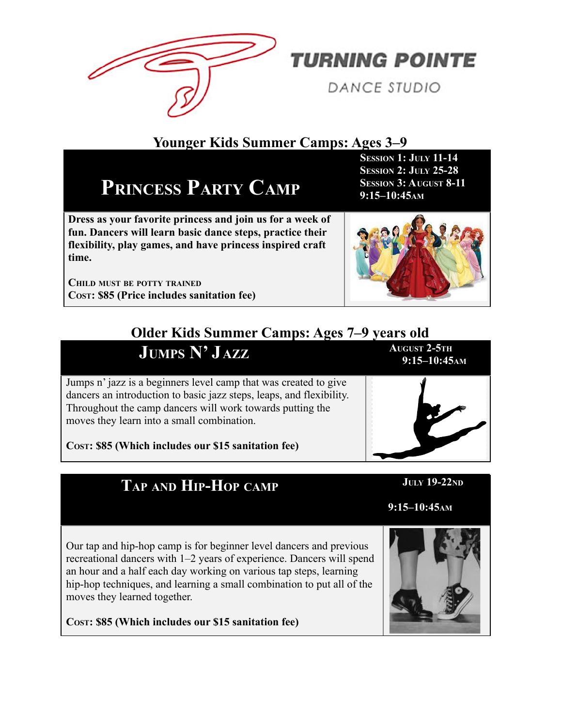

**TURNING POINTE** 

**DANCE STUDIO** 

#### **Younger Kids Summer Camps: Ages 3–9**

## **PRINCESS PARTY CAMP**

**Dress as your favorite princess and join us for a week of fun. Dancers will learn basic dance steps, practice their flexibility, play games, and have princess inspired craft time.**

**CHILD MUST BE POTTY TRAINED COST: \$85 (Price includes sanitation fee)**

#### **Older Kids Summer Camps: Ages 7–9 years old**

Jumps n' jazz is a beginners level camp that was created to give dancers an introduction to basic jazz steps, leaps, and flexibility. Throughout the camp dancers will work towards putting the moves they learn into a small combination.

 $J$ **UMPS**  $N'$ <sup> $J$ </sup> $AZZ$ 

**COST: \$85 (Which includes our \$15 sanitation fee)**

### TAP AND HIP-HOP CAMP JULY 19-22ND

**AUSESSION 1: JULY 11-14 SESSION 2: JULY 25-28 SESSION 3: AUGUST 8-11 9:15–10:45AM-130**



A **AUGUST 2-5TH10:45 A M 9:15–10:45AM9**



**9:15–10:45**AM

Our tap and hip-hop camp is for beginner level dancers and previous recreational dancers with 1–2 years of experience. Dancers will spend an hour and a half each day working on various tap steps, learning hip-hop techniques, and learning a small combination to put all of the moves they learned together.

**COST: \$85 (Which includes our \$15 sanitation fee)**